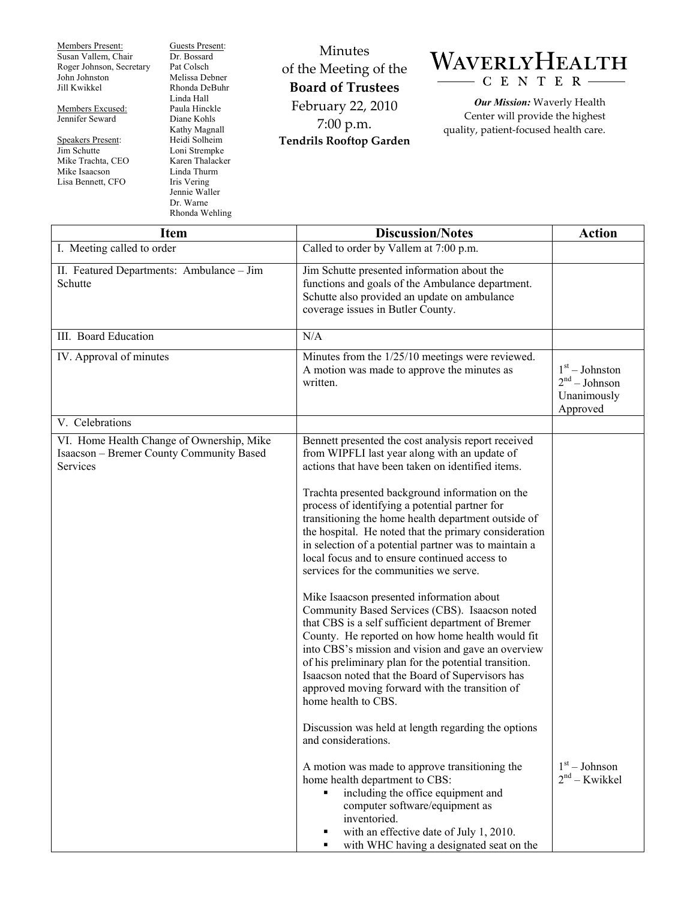Members Present: Susan Vallem, Chair Roger Johnson, Secretary John Johnston Jill Kwikkel

Members Excused: Jennifer Seward

Speakers Present: Jim Schutte Mike Trachta, CEO Mike Isaacson Lisa Bennett, CFO

Guests Present: Dr. Bossard Pat Colsch Melissa Debner Rhonda DeBuhr Linda Hall Paula Hinckle Diane Kohls Kathy Magnall Heidi Solheim Loni Strempke Karen Thalacker Linda Thurm Iris Vering Jennie Waller

Dr. Warne Rhonda Wehling

Minutes of the Meeting of the **Board of Trustees**  February 22, 2010 7:00 p.m. **Tendrils Rooftop Garden** 

## WAVERLYHEALTH C E N T E R

*Our Mission:* Waverly Health Center will provide the highest quality, patient-focused health care.

| <b>Item</b>                                                                                       | <b>Discussion/Notes</b>                                                                                                                                                                                                                                                                                                                                                                                                                                                                                                                                                                                                                                                                                                                                                                                                                                                                                                                                                                 | <b>Action</b>                                                  |
|---------------------------------------------------------------------------------------------------|-----------------------------------------------------------------------------------------------------------------------------------------------------------------------------------------------------------------------------------------------------------------------------------------------------------------------------------------------------------------------------------------------------------------------------------------------------------------------------------------------------------------------------------------------------------------------------------------------------------------------------------------------------------------------------------------------------------------------------------------------------------------------------------------------------------------------------------------------------------------------------------------------------------------------------------------------------------------------------------------|----------------------------------------------------------------|
| I. Meeting called to order                                                                        | Called to order by Vallem at 7:00 p.m.                                                                                                                                                                                                                                                                                                                                                                                                                                                                                                                                                                                                                                                                                                                                                                                                                                                                                                                                                  |                                                                |
| II. Featured Departments: Ambulance - Jim<br>Schutte                                              | Jim Schutte presented information about the<br>functions and goals of the Ambulance department.<br>Schutte also provided an update on ambulance<br>coverage issues in Butler County.                                                                                                                                                                                                                                                                                                                                                                                                                                                                                                                                                                                                                                                                                                                                                                                                    |                                                                |
| III. Board Education                                                                              | N/A                                                                                                                                                                                                                                                                                                                                                                                                                                                                                                                                                                                                                                                                                                                                                                                                                                                                                                                                                                                     |                                                                |
| IV. Approval of minutes                                                                           | Minutes from the 1/25/10 meetings were reviewed.<br>A motion was made to approve the minutes as<br>written.                                                                                                                                                                                                                                                                                                                                                                                                                                                                                                                                                                                                                                                                                                                                                                                                                                                                             | $1st - Johnston$<br>$2nd - Johnson$<br>Unanimously<br>Approved |
| V. Celebrations                                                                                   |                                                                                                                                                                                                                                                                                                                                                                                                                                                                                                                                                                                                                                                                                                                                                                                                                                                                                                                                                                                         |                                                                |
| VI. Home Health Change of Ownership, Mike<br>Isaacson - Bremer County Community Based<br>Services | Bennett presented the cost analysis report received<br>from WIPFLI last year along with an update of<br>actions that have been taken on identified items.<br>Trachta presented background information on the<br>process of identifying a potential partner for<br>transitioning the home health department outside of<br>the hospital. He noted that the primary consideration<br>in selection of a potential partner was to maintain a<br>local focus and to ensure continued access to<br>services for the communities we serve.<br>Mike Isaacson presented information about<br>Community Based Services (CBS). Isaacson noted<br>that CBS is a self sufficient department of Bremer<br>County. He reported on how home health would fit<br>into CBS's mission and vision and gave an overview<br>of his preliminary plan for the potential transition.<br>Isaacson noted that the Board of Supervisors has<br>approved moving forward with the transition of<br>home health to CBS. |                                                                |
|                                                                                                   | Discussion was held at length regarding the options<br>and considerations.<br>A motion was made to approve transitioning the<br>home health department to CBS:<br>including the office equipment and<br>computer software/equipment as<br>inventoried.<br>with an effective date of July 1, 2010.<br>with WHC having a designated seat on the<br>٠                                                                                                                                                                                                                                                                                                                                                                                                                                                                                                                                                                                                                                      | $1st - Johnson$<br>$2nd - Kwikkel$                             |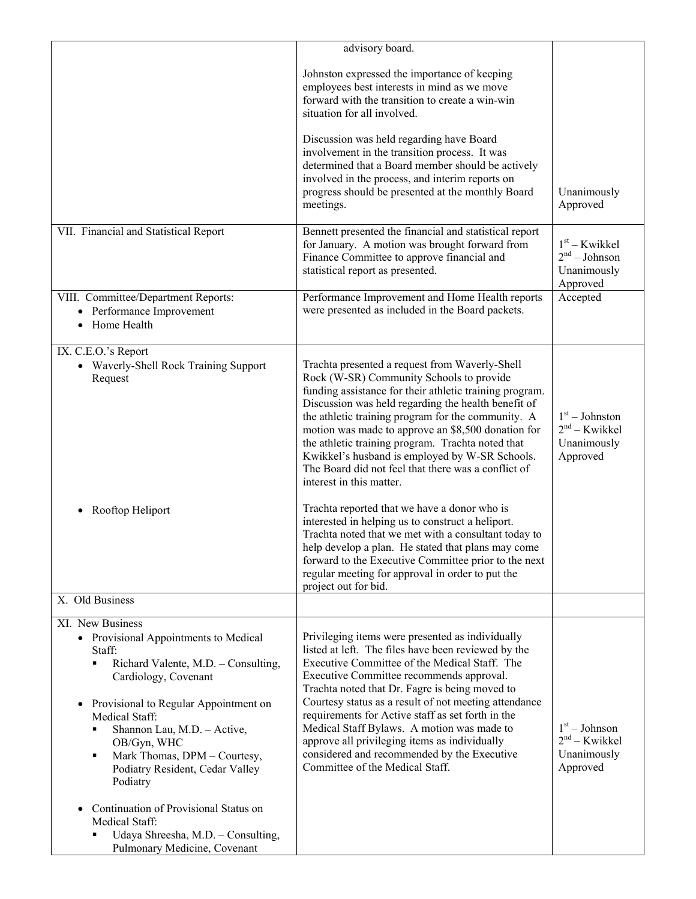|                                                                                                                                                                                                                                                                                                                                                                                                 | advisory board.                                                                                                                                                                                                                                                                                                                                                                                                                                                                                                                                       |                                                                |
|-------------------------------------------------------------------------------------------------------------------------------------------------------------------------------------------------------------------------------------------------------------------------------------------------------------------------------------------------------------------------------------------------|-------------------------------------------------------------------------------------------------------------------------------------------------------------------------------------------------------------------------------------------------------------------------------------------------------------------------------------------------------------------------------------------------------------------------------------------------------------------------------------------------------------------------------------------------------|----------------------------------------------------------------|
|                                                                                                                                                                                                                                                                                                                                                                                                 | Johnston expressed the importance of keeping<br>employees best interests in mind as we move<br>forward with the transition to create a win-win<br>situation for all involved.                                                                                                                                                                                                                                                                                                                                                                         |                                                                |
|                                                                                                                                                                                                                                                                                                                                                                                                 | Discussion was held regarding have Board<br>involvement in the transition process. It was<br>determined that a Board member should be actively<br>involved in the process, and interim reports on<br>progress should be presented at the monthly Board<br>meetings.                                                                                                                                                                                                                                                                                   | Unanimously<br>Approved                                        |
| VII. Financial and Statistical Report                                                                                                                                                                                                                                                                                                                                                           | Bennett presented the financial and statistical report<br>for January. A motion was brought forward from<br>Finance Committee to approve financial and<br>statistical report as presented.                                                                                                                                                                                                                                                                                                                                                            | $1st - Kwikkel$<br>$2nd - Johnson$<br>Unanimously<br>Approved  |
| VIII. Committee/Department Reports:<br>• Performance Improvement<br>• Home Health                                                                                                                                                                                                                                                                                                               | Performance Improvement and Home Health reports<br>were presented as included in the Board packets.                                                                                                                                                                                                                                                                                                                                                                                                                                                   | Accepted                                                       |
| IX. C.E.O.'s Report<br>• Waverly-Shell Rock Training Support<br>Request                                                                                                                                                                                                                                                                                                                         | Trachta presented a request from Waverly-Shell<br>Rock (W-SR) Community Schools to provide<br>funding assistance for their athletic training program.<br>Discussion was held regarding the health benefit of<br>the athletic training program for the community. A<br>motion was made to approve an \$8,500 donation for<br>the athletic training program. Trachta noted that<br>Kwikkel's husband is employed by W-SR Schools.<br>The Board did not feel that there was a conflict of<br>interest in this matter.                                    | $1st - Johnston$<br>$2nd - Kwikkel$<br>Unanimously<br>Approved |
| Rooftop Heliport                                                                                                                                                                                                                                                                                                                                                                                | Trachta reported that we have a donor who is<br>interested in helping us to construct a heliport.<br>Trachta noted that we met with a consultant today to<br>help develop a plan. He stated that plans may come<br>forward to the Executive Committee prior to the next<br>regular meeting for approval in order to put the<br>project out for bid.                                                                                                                                                                                                   |                                                                |
| X. Old Business                                                                                                                                                                                                                                                                                                                                                                                 |                                                                                                                                                                                                                                                                                                                                                                                                                                                                                                                                                       |                                                                |
| XI. New Business<br>• Provisional Appointments to Medical<br>Staff:<br>Richard Valente, M.D. - Consulting,<br>٠<br>Cardiology, Covenant<br>Provisional to Regular Appointment on<br>$\bullet$<br>Medical Staff:<br>Shannon Lau, M.D. - Active,<br>٠<br>OB/Gyn, WHC<br>Mark Thomas, DPM - Courtesy,<br>٠<br>Podiatry Resident, Cedar Valley<br>Podiatry<br>Continuation of Provisional Status on | Privileging items were presented as individually<br>listed at left. The files have been reviewed by the<br>Executive Committee of the Medical Staff. The<br>Executive Committee recommends approval.<br>Trachta noted that Dr. Fagre is being moved to<br>Courtesy status as a result of not meeting attendance<br>requirements for Active staff as set forth in the<br>Medical Staff Bylaws. A motion was made to<br>approve all privileging items as individually<br>considered and recommended by the Executive<br>Committee of the Medical Staff. | $1st - Johnson$<br>$2nd - Kwikkel$<br>Unanimously<br>Approved  |
| Medical Staff:<br>Udaya Shreesha, M.D. - Consulting,<br>Pulmonary Medicine, Covenant                                                                                                                                                                                                                                                                                                            |                                                                                                                                                                                                                                                                                                                                                                                                                                                                                                                                                       |                                                                |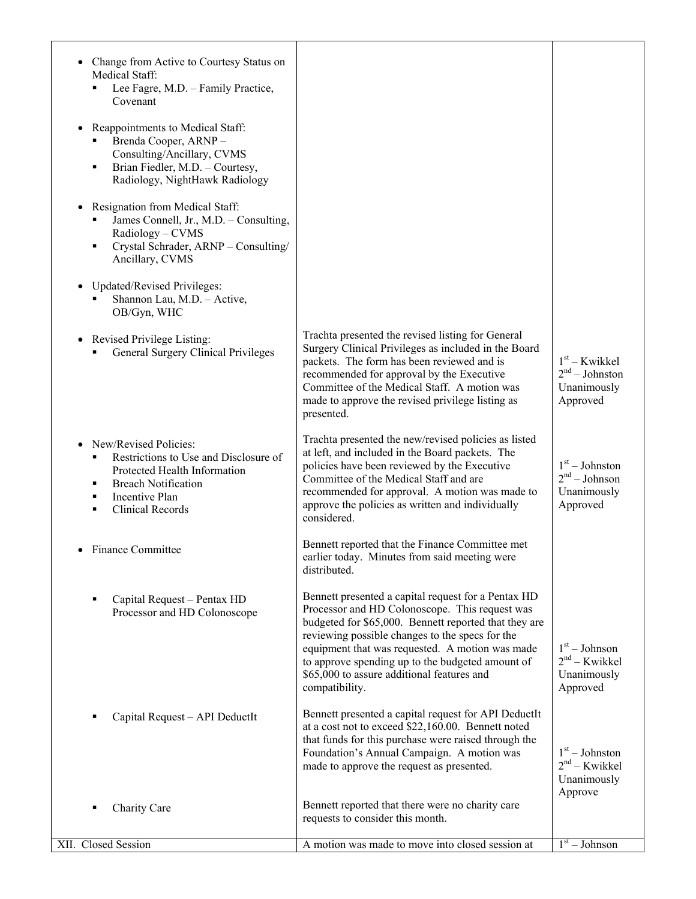| Change from Active to Courtesy Status on<br>Medical Staff:<br>Lee Fagre, M.D. - Family Practice,<br>Covenant                                                                                         |                                                                                                                                                                                                                                                                                                                                                                                          |                                                                          |
|------------------------------------------------------------------------------------------------------------------------------------------------------------------------------------------------------|------------------------------------------------------------------------------------------------------------------------------------------------------------------------------------------------------------------------------------------------------------------------------------------------------------------------------------------------------------------------------------------|--------------------------------------------------------------------------|
| Reappointments to Medical Staff:<br>$\bullet$<br>Brenda Cooper, ARNP-<br>Consulting/Ancillary, CVMS<br>Brian Fiedler, M.D. - Courtesy,<br>Ξ<br>Radiology, NightHawk Radiology                        |                                                                                                                                                                                                                                                                                                                                                                                          |                                                                          |
| Resignation from Medical Staff:<br>٠<br>James Connell, Jr., M.D. - Consulting,<br>Radiology - CVMS<br>Crystal Schrader, ARNP - Consulting/<br>٠<br>Ancillary, CVMS                                   |                                                                                                                                                                                                                                                                                                                                                                                          |                                                                          |
| <b>Updated/Revised Privileges:</b><br>$\bullet$<br>Shannon Lau, M.D. - Active,<br>OB/Gyn, WHC                                                                                                        |                                                                                                                                                                                                                                                                                                                                                                                          |                                                                          |
| • Revised Privilege Listing:<br>General Surgery Clinical Privileges                                                                                                                                  | Trachta presented the revised listing for General<br>Surgery Clinical Privileges as included in the Board<br>packets. The form has been reviewed and is<br>recommended for approval by the Executive<br>Committee of the Medical Staff. A motion was<br>made to approve the revised privilege listing as<br>presented.                                                                   | $1st$ – Kwikkel<br>2 <sup>nd</sup> – Johnston<br>Unanimously<br>Approved |
| New/Revised Policies:<br>Restrictions to Use and Disclosure of<br>٠<br>Protected Health Information<br><b>Breach Notification</b><br>Е<br><b>Incentive Plan</b><br>п<br><b>Clinical Records</b><br>٠ | Trachta presented the new/revised policies as listed<br>at left, and included in the Board packets. The<br>policies have been reviewed by the Executive<br>Committee of the Medical Staff and are<br>recommended for approval. A motion was made to<br>approve the policies as written and individually<br>considered.                                                                   | $1st - Johnston$<br>$2nd - Johnson$<br>Unanimously<br>Approved           |
| Finance Committee                                                                                                                                                                                    | Bennett reported that the Finance Committee met<br>earlier today. Minutes from said meeting were<br>distributed.                                                                                                                                                                                                                                                                         |                                                                          |
| Capital Request - Pentax HD<br>Е<br>Processor and HD Colonoscope                                                                                                                                     | Bennett presented a capital request for a Pentax HD<br>Processor and HD Colonoscope. This request was<br>budgeted for \$65,000. Bennett reported that they are<br>reviewing possible changes to the specs for the<br>equipment that was requested. A motion was made<br>to approve spending up to the budgeted amount of<br>\$65,000 to assure additional features and<br>compatibility. | $1st - Johnson$<br>$2nd - Kwikkel$<br>Unanimously<br>Approved            |
| Capital Request - API DeductIt                                                                                                                                                                       | Bennett presented a capital request for API DeductIt<br>at a cost not to exceed \$22,160.00. Bennett noted<br>that funds for this purchase were raised through the<br>Foundation's Annual Campaign. A motion was<br>made to approve the request as presented.                                                                                                                            | $1st - Johnston$<br>$2nd - Kwikkel$<br>Unanimously<br>Approve            |
| Charity Care                                                                                                                                                                                         | Bennett reported that there were no charity care<br>requests to consider this month.                                                                                                                                                                                                                                                                                                     |                                                                          |
| XII. Closed Session                                                                                                                                                                                  | A motion was made to move into closed session at                                                                                                                                                                                                                                                                                                                                         | $1st - Johnson$                                                          |